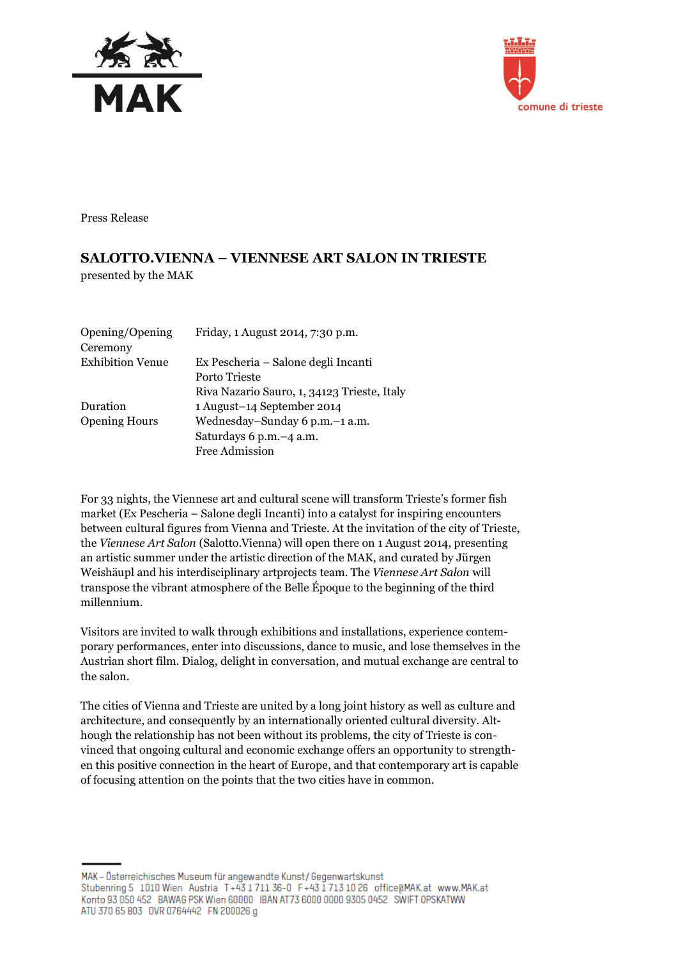



Press Release

## **SALOTTO.VIENNA – VIENNESE ART SALON IN TRIESTE** presented by the MAK

| Opening/Opening<br>Ceremony | Friday, 1 August 2014, 7:30 p.m.            |
|-----------------------------|---------------------------------------------|
| <b>Exhibition Venue</b>     | Ex Pescheria – Salone degli Incanti         |
|                             | Porto Trieste                               |
|                             | Riva Nazario Sauro, 1, 34123 Trieste, Italy |
| Duration                    | 1 August-14 September 2014                  |
| <b>Opening Hours</b>        | Wednesday-Sunday 6 p.m. -1 a.m.             |
|                             | Saturdays 6 p.m. -4 a.m.                    |
|                             | <b>Free Admission</b>                       |
|                             |                                             |

For 33 nights, the Viennese art and cultural scene will transform Trieste's former fish market (Ex Pescheria – Salone degli Incanti) into a catalyst for inspiring encounters between cultural figures from Vienna and Trieste. At the invitation of the city of Trieste, the *Viennese Art Salon* (Salotto.Vienna) will open there on 1 August 2014, presenting an artistic summer under the artistic direction of the MAK, and curated by Jürgen Weishäupl and his interdisciplinary artprojects team. The *Viennese Art Salon* will transpose the vibrant atmosphere of the Belle Époque to the beginning of the third millennium.

Visitors are invited to walk through exhibitions and installations, experience contemporary performances, enter into discussions, dance to music, and lose themselves in the Austrian short film. Dialog, delight in conversation, and mutual exchange are central to the salon.

The cities of Vienna and Trieste are united by a long joint history as well as culture and architecture, and consequently by an internationally oriented cultural diversity. Although the relationship has not been without its problems, the city of Trieste is convinced that ongoing cultural and economic exchange offers an opportunity to strengthen this positive connection in the heart of Europe, and that contemporary art is capable of focusing attention on the points that the two cities have in common.

MAK - Österreichisches Museum für angewandte Kunst/Gegenwartskunst Stubenring 5 1010 Wien Austria T+43 1711 36-0 F+43 1713 10 26 office@MAK.at www.MAK.at Konto 93 050 452 BAWAG PSK Wien 60000 IBAN AT73 6000 0000 9305 0452 SWIFT 0PSKATWW ATU 370 65 803 DVR 0764442 FN 200026 g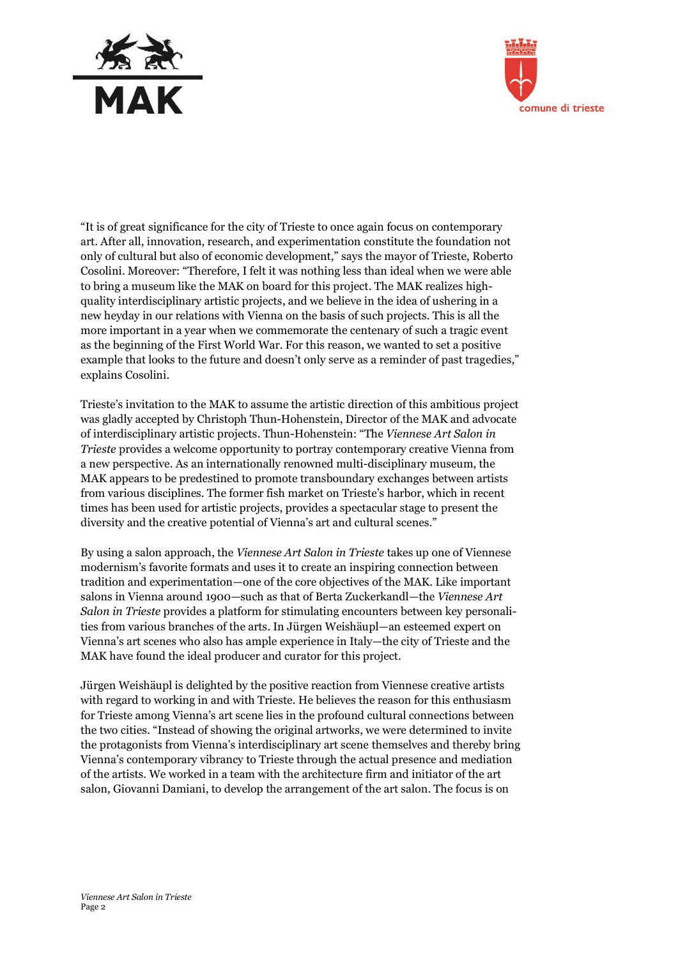



"It is of great significance for the city of Trieste to once again focus on contemporary art. After all, innovation, research, and experimentation constitute the foundation not only of cultural but also of economic development," says the mayor of Trieste, Roberto Cosolini. Moreover: "Therefore, I felt it was nothing less than ideal when we were able to bring a museum like the MAK on board for this project. The MAK realizes highquality interdisciplinary artistic projects, and we believe in the idea of ushering in a new heyday in our relations with Vienna on the basis of such projects. This is all the more important in a year when we commemorate the centenary of such a tragic event as the beginning of the First World War. For this reason, we wanted to set a positive example that looks to the future and doesn't only serve as a reminder of past tragedies," explains Cosolini.

Trieste's invitation to the MAK to assume the artistic direction of this ambitious project was gladly accepted by Christoph Thun-Hohenstein, Director of the MAK and advocate of interdisciplinary artistic projects. Thun-Hohenstein: "The *Viennese Art Salon in Trieste* provides a welcome opportunity to portray contemporary creative Vienna from a new perspective. As an internationally renowned multi-disciplinary museum, the MAK appears to be predestined to promote transboundary exchanges between artists from various disciplines. The former fish market on Trieste's harbor, which in recent times has been used for artistic projects, provides a spectacular stage to present the diversity and the creative potential of Vienna's art and cultural scenes."

By using a salon approach, the *Viennese Art Salon in Trieste* takes up one of Viennese modernism's favorite formats and uses it to create an inspiring connection between tradition and experimentation—one of the core objectives of the MAK. Like important salons in Vienna around 1900—such as that of Berta Zuckerkandl—the *Viennese Art Salon in Trieste* provides a platform for stimulating encounters between key personalities from various branches of the arts. In Jürgen Weishäupl—an esteemed expert on Vienna's art scenes who also has ample experience in Italy—the city of Trieste and the MAK have found the ideal producer and curator for this project.

Jürgen Weishäupl is delighted by the positive reaction from Viennese creative artists with regard to working in and with Trieste. He believes the reason for this enthusiasm for Trieste among Vienna's art scene lies in the profound cultural connections between the two cities. "Instead of showing the original artworks, we were determined to invite the protagonists from Vienna's interdisciplinary art scene themselves and thereby bring Vienna's contemporary vibrancy to Trieste through the actual presence and mediation of the artists. We worked in a team with the architecture firm and initiator of the art salon, Giovanni Damiani, to develop the arrangement of the art salon. The focus is on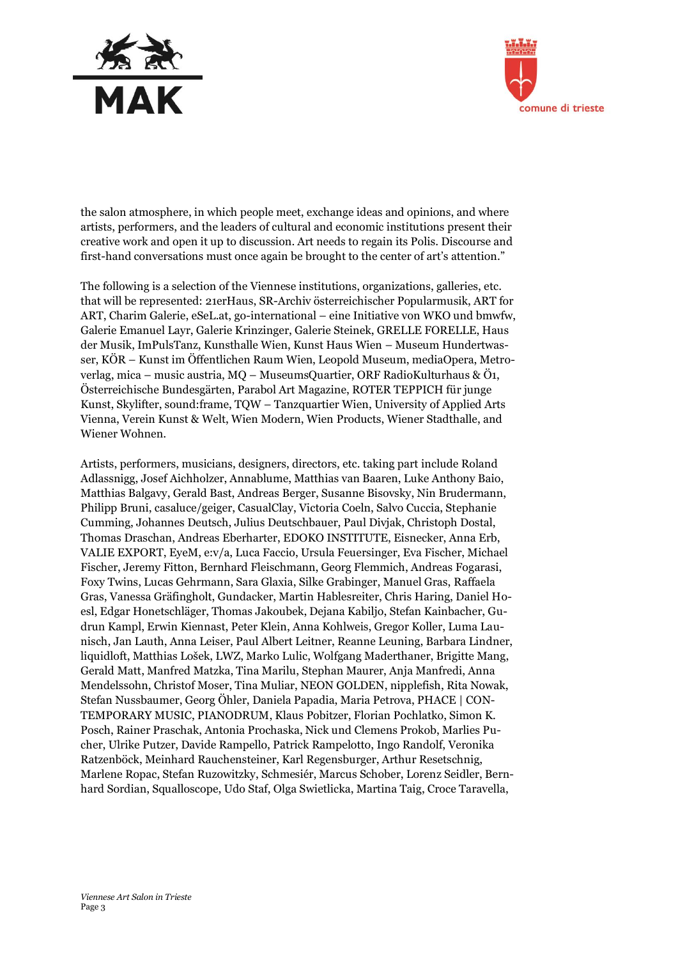



the salon atmosphere, in which people meet, exchange ideas and opinions, and where artists, performers, and the leaders of cultural and economic institutions present their creative work and open it up to discussion. Art needs to regain its Polis. Discourse and first-hand conversations must once again be brought to the center of art's attention."

The following is a selection of the Viennese institutions, organizations, galleries, etc. that will be represented: 21erHaus, SR-Archiv österreichischer Popularmusik, ART for ART, Charim Galerie, eSeL.at, go-international – eine Initiative von WKO und bmwfw, Galerie Emanuel Layr, Galerie Krinzinger, Galerie Steinek, GRELLE FORELLE, Haus der Musik, ImPulsTanz, Kunsthalle Wien, Kunst Haus Wien – Museum Hundertwasser, KÖR – Kunst im Öffentlichen Raum Wien, Leopold Museum, mediaOpera, Metroverlag, mica – music austria, MQ – MuseumsQuartier, ORF RadioKulturhaus & Ö1, Österreichische Bundesgärten, Parabol Art Magazine, ROTER TEPPICH für junge Kunst, Skylifter, sound:frame, TQW – Tanzquartier Wien, University of Applied Arts Vienna, Verein Kunst & Welt, Wien Modern, Wien Products, Wiener Stadthalle, and Wiener Wohnen.

Artists, performers, musicians, designers, directors, etc. taking part include Roland Adlassnigg, Josef Aichholzer, Annablume, Matthias van Baaren, Luke Anthony Baio, Matthias Balgavy, Gerald Bast, Andreas Berger, Susanne Bisovsky, Nin Brudermann, Philipp Bruni, casaluce/geiger, CasualClay, Victoria Coeln, Salvo Cuccia, Stephanie Cumming, Johannes Deutsch, Julius Deutschbauer, Paul Divjak, Christoph Dostal, Thomas Draschan, Andreas Eberharter, EDOKO INSTITUTE, Eisnecker, Anna Erb, VALIE EXPORT, EyeM, e:v/a, Luca Faccio, Ursula Feuersinger, Eva Fischer, Michael Fischer, Jeremy Fitton, Bernhard Fleischmann, Georg Flemmich, Andreas Fogarasi, Foxy Twins, Lucas Gehrmann, Sara Glaxia, Silke Grabinger, Manuel Gras, Raffaela Gras, Vanessa Gräfingholt, Gundacker, Martin Hablesreiter, Chris Haring, Daniel Hoesl, Edgar Honetschläger, Thomas Jakoubek, Dejana Kabiljo, Stefan Kainbacher, Gudrun Kampl, Erwin Kiennast, Peter Klein, Anna Kohlweis, Gregor Koller, Luma Launisch, Jan Lauth, Anna Leiser, Paul Albert Leitner, Reanne Leuning, Barbara Lindner, liquidloft, Matthias Lošek, LWZ, Marko Lulic, Wolfgang Maderthaner, Brigitte Mang, Gerald Matt, Manfred Matzka, Tina Marilu, Stephan Maurer, Anja Manfredi, Anna Mendelssohn, Christof Moser, Tina Muliar, NEON GOLDEN, nipplefish, Rita Nowak, Stefan Nussbaumer, Georg Öhler, Daniela Papadia, Maria Petrova, PHACE | CON-TEMPORARY MUSIC, PIANODRUM, Klaus Pobitzer, Florian Pochlatko, Simon K. Posch, Rainer Praschak, Antonia Prochaska, Nick und Clemens Prokob, Marlies Pucher, Ulrike Putzer, Davide Rampello, Patrick Rampelotto, Ingo Randolf, Veronika Ratzenböck, Meinhard Rauchensteiner, Karl Regensburger, Arthur Resetschnig, Marlene Ropac, Stefan Ruzowitzky, Schmesiér, Marcus Schober, Lorenz Seidler, Bernhard Sordian, Squalloscope, Udo Staf, Olga Swietlicka, Martina Taig, Croce Taravella,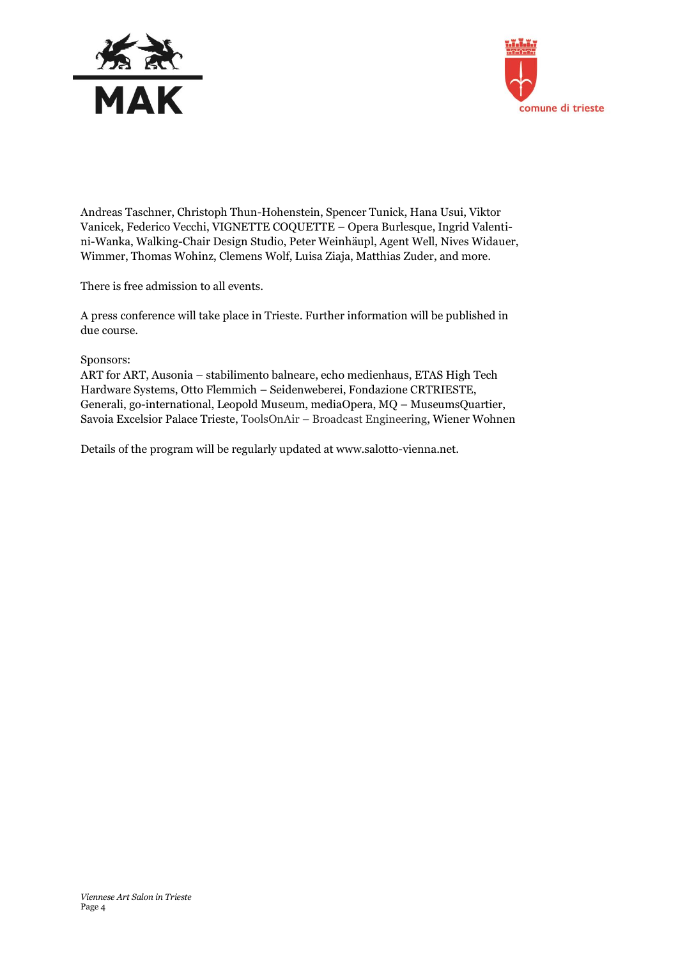



Andreas Taschner, Christoph Thun-Hohenstein, Spencer Tunick, Hana Usui, Viktor Vanicek, Federico Vecchi, VIGNETTE COQUETTE – Opera Burlesque, Ingrid Valentini-Wanka, Walking-Chair Design Studio, Peter Weinhäupl, Agent Well, Nives Widauer, Wimmer, Thomas Wohinz, Clemens Wolf, Luisa Ziaja, Matthias Zuder, and more.

There is free admission to all events.

A press conference will take place in Trieste. Further information will be published in due course.

## Sponsors:

ART for ART, Ausonia – stabilimento balneare, echo medienhaus, ETAS High Tech Hardware Systems, Otto Flemmich – Seidenweberei, Fondazione CRTRIESTE, Generali, go-international, Leopold Museum, mediaOpera, MQ – MuseumsQuartier, Savoia Excelsior Palace Trieste, ToolsOnAir – Broadcast Engineering, Wiener Wohnen

Details of the program will be regularly updated at [www.salotto-vienna.net.](http://www.salotto-vienna.net/)